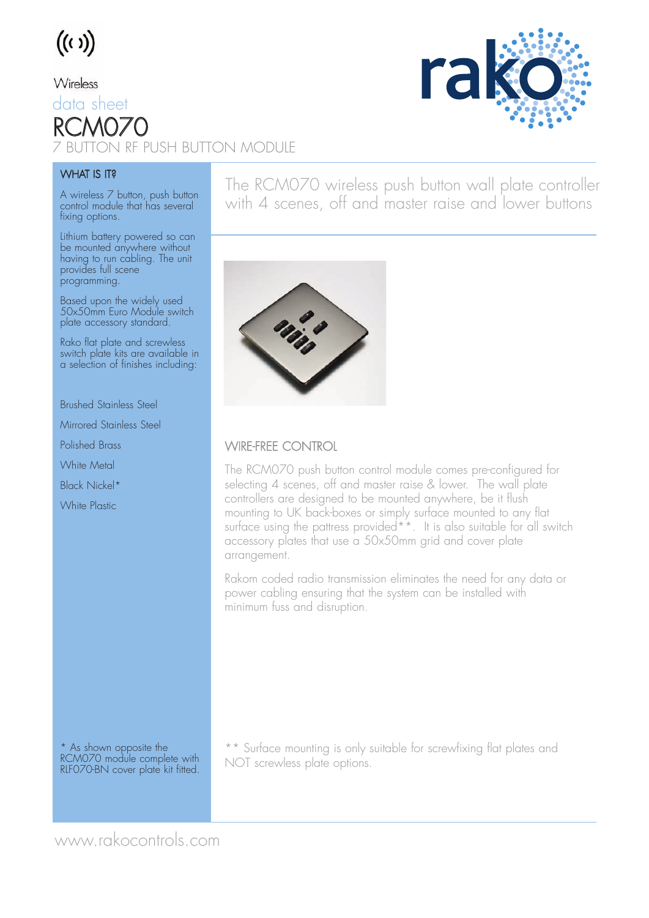

#### Wireless

data sheet RC M **THE PUSH BUTTON MODULE** 

### **WHAT IS IT?**

A wireless 7 button, push button control module that has several fixing options.

Lithium battery powered so can be mounted anywhere without having to run cabling. The unit provides full scene programming.

Based upon the widely used 50x50mm Euro Module switch plate accessory standard.

Rako flat plate and screwless switch plate kits are available in a selection of finishes including:

Brushed Stainless Steel

Mirrored Stainless Steel

Polished Brass

White Metal

Black Nickel\*

White Plastic

The RCM070 wireless push button wall plate controller with 4 scenes, off and master raise and lower buttons



### WIRE-FREE CONTROL

The RCM070 push button control module comes pre-configured for selecting 4 scenes, off and master raise & lower. The wall plate controllers are designed to be mounted anywhere, be it flush mounting to UK back-boxes or simply surface mounted to any flat surface using the pattress provided<sup>\*\*</sup>. It is also suitable for all switch accessory plates that use a 50x50mm grid and cover plate arrangement.

Rakom coded radio transmission eliminates the need for any data or power cabling ensuring that the system can be installed with minimum fuss and disruption.

\* As shown opposite the RCM070 module complete with RLF070-BN cover plate kit fitted.

\*\* Surface mounting is only suitable for screwfixing flat plates and NOT screwless plate options.



www.rakocontrols.com